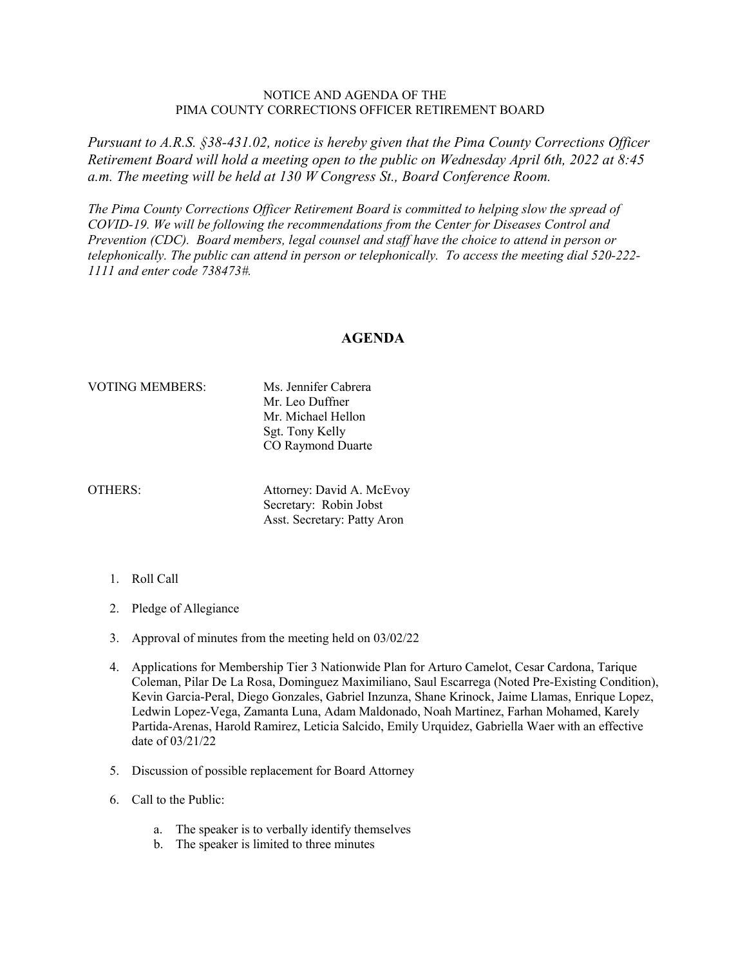## NOTICE AND AGENDA OF THE PIMA COUNTY CORRECTIONS OFFICER RETIREMENT BOARD

*Pursuant to A.R.S. §38-431.02, notice is hereby given that the Pima County Corrections Officer Retirement Board will hold a meeting open to the public on Wednesday April 6th, 2022 at 8:45 a.m. The meeting will be held at 130 W Congress St., Board Conference Room.*

*The Pima County Corrections Officer Retirement Board is committed to helping slow the spread of COVID-19. We will be following the recommendations from the Center for Diseases Control and Prevention (CDC). Board members, legal counsel and staff have the choice to attend in person or telephonically. The public can attend in person or telephonically. To access the meeting dial 520-222- 1111 and enter code 738473#.*

## **AGENDA**

## VOTING MEMBERS: Ms. Jennifer Cabrera

Mr. Leo Duffner Mr. Michael Hellon Sgt. Tony Kelly CO Raymond Duarte

OTHERS: Attorney: David A. McEvoy Secretary: Robin Jobst Asst. Secretary: Patty Aron

- 1. Roll Call
- 2. Pledge of Allegiance
- 3. Approval of minutes from the meeting held on 03/02/22
- 4. Applications for Membership Tier 3 Nationwide Plan for Arturo Camelot, Cesar Cardona, Tarique Coleman, Pilar De La Rosa, Dominguez Maximiliano, Saul Escarrega (Noted Pre-Existing Condition), Kevin Garcia-Peral, Diego Gonzales, Gabriel Inzunza, Shane Krinock, Jaime Llamas, Enrique Lopez, Ledwin Lopez-Vega, Zamanta Luna, Adam Maldonado, Noah Martinez, Farhan Mohamed, Karely Partida-Arenas, Harold Ramirez, Leticia Salcido, Emily Urquidez, Gabriella Waer with an effective date of 03/21/22
- 5. Discussion of possible replacement for Board Attorney
- 6. Call to the Public:
	- a. The speaker is to verbally identify themselves
	- b. The speaker is limited to three minutes